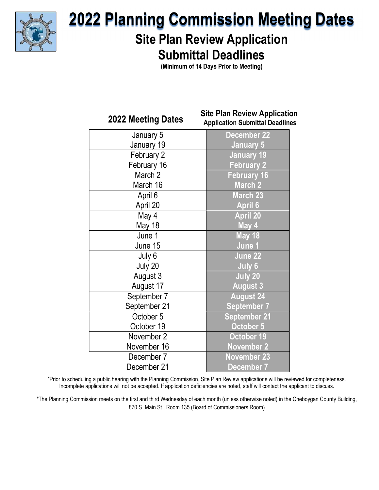

# 2022 Planning Commission Meeting Dates

### Site Plan Review Application Submittal Deadlines

(Minimum of 14 Days Prior to Meeting)

| <b>2022 Meeting Dates</b> | <b>Site Plan Review Application</b><br><b>Application Submittal Deadlines</b> |
|---------------------------|-------------------------------------------------------------------------------|
| January 5                 | <b>December 22</b>                                                            |
| January 19                | <b>January 5</b>                                                              |
| February 2                | January <sub>19</sub>                                                         |
| February 16               | <b>February 2</b>                                                             |
| March 2                   | <b>February 16</b>                                                            |
| March 16                  | <b>March 2</b>                                                                |
| April 6                   | <b>March 23</b>                                                               |
| April 20                  | <b>April 6</b>                                                                |
| May 4                     | <b>April 20</b>                                                               |
| <b>May 18</b>             | May 4                                                                         |
| June 1                    | May 18                                                                        |
| June 15                   | June 1                                                                        |
| July 6                    | June 22                                                                       |
| July 20                   | July 6                                                                        |
| August 3                  | July 20                                                                       |
| August 17                 | <b>August 3</b>                                                               |
| September 7               | <b>August 24</b>                                                              |
| September 21              | <b>September 7</b>                                                            |
| October 5                 | <b>September 21</b>                                                           |
| October 19                | October 5                                                                     |
| November 2                | October 19                                                                    |
| November 16               | <b>November 2</b>                                                             |
| December 7                | <b>November 23</b>                                                            |
| December 21               | December 7                                                                    |

\*Prior to scheduling a public hearing with the Planning Commission, Site Plan Review applications will be reviewed for completeness. Incomplete applications will not be accepted. If application deficiencies are noted, staff will contact the applicant to discuss.

\*The Planning Commission meets on the first and third Wednesday of each month (unless otherwise noted) in the Cheboygan County Building, 870 S. Main St., Room 135 (Board of Commissioners Room)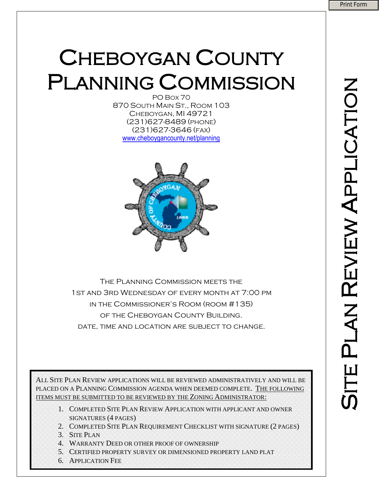# CHEBOYGAN COUNTY PLANNING COMMISSION

870 SOUTH MAIN ST., ROOM 103 CHEBOYGAN, MI 49721 (231)627-8489 (PHONE) (231)627-3646 (FAX) [www.cheboygancounty.net/planning](http://www.cheboygancounty.net/planning)



The Planning Commission meets the 1st and 3rd Wednesday of every month at 7:00 pm in the Commissioner's Room (room #135) of the Cheboygan County Building. date, time and location are subject to change.

ALL SITE PLAN REVIEW APPLICATIONS WILL BE REVIEWED ADMINISTRATIVELY AND WILL BE PLACED ON A PLANNING COMMISSION AGENDA WHEN DEEMED COMPLETE. THE FOLLOWING ITEMS MUST BE SUBMITTED TO BE REVIEWED BY THE ZONING ADMINISTRATOR:

- 1. COMPLETED SITE PLAN REVIEW APPLICATION WITH APPLICANT AND OWNER SIGNATURES (4 PAGES)
- 2. COMPLETED SITE PLAN REQUIREMENT CHECKLIST WITH SIGNATURE (2 PAGES)
- 3. SITE PLAN
- 4. WARRANTY DEED OR OTHER PROOF OF OWNERSHIP
- 5. CERTIFIED PROPERTY SURVEY OR DIMENSIONED PROPERTY LAND PLAT
- 6. APPLICATION FEE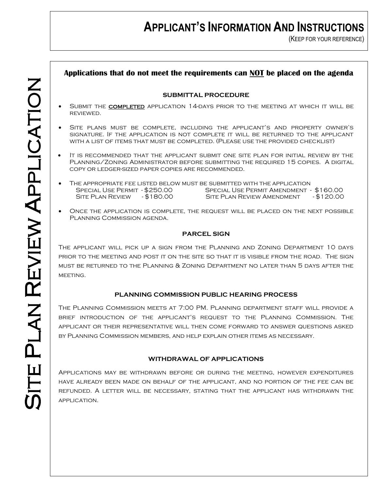### **APPLICANT'S INFORMATION AND INSTRUCTIONS**

(KEEP FOR YOUR REFERENCE)

#### **Applications that do not meet the requirements can NOT be placed on the agenda**

#### **SUBMITTAL PROCEDURE**

- SUBMIT THE **COMPLETED** APPLICATION 14-DAYS PRIOR TO THE MEETING AT WHICH IT WILL BE reviewed.
- Site plans must be complete, including the applicant's and property owner's signature. If the application is not complete it will be returned to the applicant with a list of items that must be completed. (Please use the provided checklist)
- It is recommended that the applicant submit one site plan for initial review by the Planning/Zoning Administrator before submitting the required 15 copies. A digital copy or ledger-sized paper copies are recommended.
- The appropriate fee listed below must be submitted with the application Special Use Permit - \$250.00 Special Use Permit Amendment - \$160.00 SITE PLAN REVIEW - \$180.00 SITE PLAN REVIEW AMENDMENT - \$120.00
- ONCE THE APPLICATION IS COMPLETE, THE REQUEST WILL BE PLACED ON THE NEXT POSSIBLE Planning Commission agenda.

#### **PARCEL SIGN**

The applicant will pick up a sign from the Planning and Zoning Department 10 days prior to the meeting and post it on the site so that it is visible from the road. The sign must be returned to the Planning & Zoning Department no later than 5 days after the MEETING.

#### **PLANNING COMMISSION PUBLIC HEARING PROCESS**

The Planning Commission meets at 7:00 PM. Planning department staff will provide a brief introduction of the applicant's request to the Planning Commission. The applicant or their representative will then come forward to answer questions asked by Planning Commission members, and help explain other items as necessary.

#### **WITHDRAWAL OF APPLICATIONS**

Applications may be withdrawn before or during the meeting, however expenditures have already been made on behalf of the applicant, and no portion of the fee can be refunded. A letter will be necessary, stating that the applicant has withdrawn the application.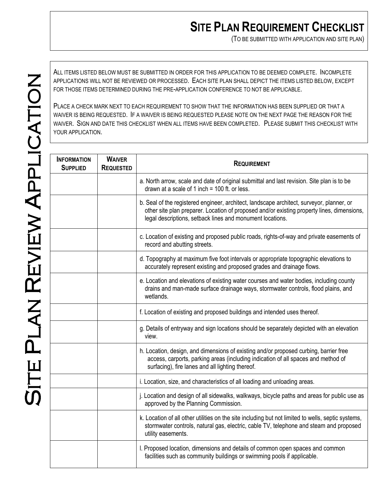## **SITE PLAN REQUIREMENT CHECKLIST**

(TO BE SUBMITTED WITH APPLICATION AND SITE PLAN)

ALL ITEMS LISTED BELOW MUST BE SUBMITTED IN ORDER FOR THIS APPLICATION TO BE DEEMED COMPLETE. INCOMPLETE APPLICATIONS WILL NOT BE REVIEWED OR PROCESSED. EACH SITE PLAN SHALL DEPICT THE ITEMS LISTED BELOW, EXCEPT FOR THOSE ITEMS DETERMINED DURING THE PRE-APPLICATION CONFERENCE TO NOT BE APPLICABLE.

PLACE A CHECK MARK NEXT TO EACH REQUIREMENT TO SHOW THAT THE INFORMATION HAS BEEN SUPPLIED OR THAT A WAIVER IS BEING REQUESTED. IF A WAIVER IS BEING REQUESTED PLEASE NOTE ON THE NEXT PAGE THE REASON FOR THE WAIVER. SIGN AND DATE THIS CHECKLIST WHEN ALL ITEMS HAVE BEEN COMPLETED. PLEASE SUBMIT THIS CHECKLIST WITH YOUR APPLICATION.

| <b>INFORMATION</b><br><b>SUPPLIED</b> | <b>WAIVER</b><br><b>REQUESTED</b> | <b>REQUIREMENT</b>                                                                                                                                                                                                                                   |  |  |  |
|---------------------------------------|-----------------------------------|------------------------------------------------------------------------------------------------------------------------------------------------------------------------------------------------------------------------------------------------------|--|--|--|
|                                       |                                   | a. North arrow, scale and date of original submittal and last revision. Site plan is to be<br>drawn at a scale of 1 inch = $100$ ft. or less.                                                                                                        |  |  |  |
|                                       |                                   | b. Seal of the registered engineer, architect, landscape architect, surveyor, planner, or<br>other site plan preparer. Location of proposed and/or existing property lines, dimensions,<br>legal descriptions, setback lines and monument locations. |  |  |  |
|                                       |                                   | c. Location of existing and proposed public roads, rights-of-way and private easements of<br>record and abutting streets.                                                                                                                            |  |  |  |
|                                       |                                   | d. Topography at maximum five foot intervals or appropriate topographic elevations to<br>accurately represent existing and proposed grades and drainage flows.                                                                                       |  |  |  |
|                                       |                                   | e. Location and elevations of existing water courses and water bodies, including county<br>drains and man-made surface drainage ways, stormwater controls, flood plains, and<br>wetlands.                                                            |  |  |  |
|                                       |                                   | f. Location of existing and proposed buildings and intended uses thereof.                                                                                                                                                                            |  |  |  |
|                                       |                                   | g. Details of entryway and sign locations should be separately depicted with an elevation<br>view.                                                                                                                                                   |  |  |  |
|                                       |                                   | h. Location, design, and dimensions of existing and/or proposed curbing, barrier free<br>access, carports, parking areas (including indication of all spaces and method of<br>surfacing), fire lanes and all lighting thereof.                       |  |  |  |
|                                       |                                   | i. Location, size, and characteristics of all loading and unloading areas.                                                                                                                                                                           |  |  |  |
|                                       |                                   | j. Location and design of all sidewalks, walkways, bicycle paths and areas for public use as<br>approved by the Planning Commission.                                                                                                                 |  |  |  |
|                                       |                                   | k. Location of all other utilities on the site including but not limited to wells, septic systems,<br>stormwater controls, natural gas, electric, cable TV, telephone and steam and proposed<br>utility easements.                                   |  |  |  |
|                                       |                                   | I. Proposed location, dimensions and details of common open spaces and common<br>facilities such as community buildings or swimming pools if applicable.                                                                                             |  |  |  |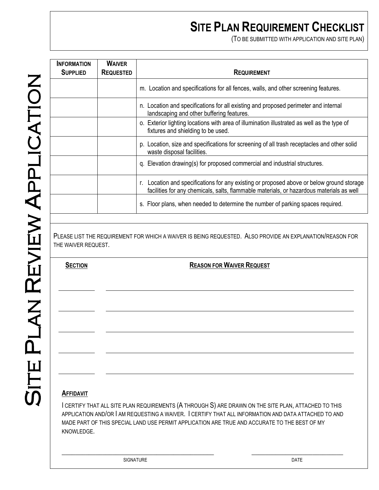## **SITE PLAN REQUIREMENT CHECKLIST**

(TO BE SUBMITTED WITH APPLICATION AND SITE PLAN)

| <b>INFORMATION</b><br><b>SUPPLIED</b> | <b>WAIVER</b><br><b>REQUESTED</b> | <b>REQUIREMENT</b>                                                                                                                                                                       |
|---------------------------------------|-----------------------------------|------------------------------------------------------------------------------------------------------------------------------------------------------------------------------------------|
|                                       |                                   | m. Location and specifications for all fences, walls, and other screening features.                                                                                                      |
|                                       |                                   | n. Location and specifications for all existing and proposed perimeter and internal<br>landscaping and other buffering features.                                                         |
|                                       |                                   | o. Exterior lighting locations with area of illumination illustrated as well as the type of<br>fixtures and shielding to be used.                                                        |
|                                       |                                   | p. Location, size and specifications for screening of all trash receptacles and other solid<br>waste disposal facilities.                                                                |
|                                       |                                   | q. Elevation drawing(s) for proposed commercial and industrial structures.                                                                                                               |
|                                       |                                   | Location and specifications for any existing or proposed above or below ground storage<br>r.<br>facilities for any chemicals, salts, flammable materials, or hazardous materials as well |
|                                       |                                   | s. Floor plans, when needed to determine the number of parking spaces required.                                                                                                          |
|                                       |                                   |                                                                                                                                                                                          |

PLEASE LIST THE REQUIREMENT FOR WHICH A WAIVER IS BEING REQUESTED. ALSO PROVIDE AN EXPLANATION/REASON FOR THE WAIVER REQUEST.

**SECTION REASON FOR WAIVER REQUEST** 

#### **AFFIDAVIT**

I CERTIFY THAT ALL SITE PLAN REQUIREMENTS (A THROUGH S) ARE DRAWN ON THE SITE PLAN, ATTACHED TO THIS APPLICATION AND/OR I AM REQUESTING A WAIVER. I CERTIFY THAT ALL INFORMATION AND DATA ATTACHED TO AND MADE PART OF THIS SPECIAL LAND USE PERMIT APPLICATION ARE TRUE AND ACCURATE TO THE BEST OF MY KNOWLEDGE.

 $\_$  , and the set of the set of the set of the set of the set of the set of the set of the set of the set of the set of the set of the set of the set of the set of the set of the set of the set of the set of the set of th

SIGNATURE **DATE**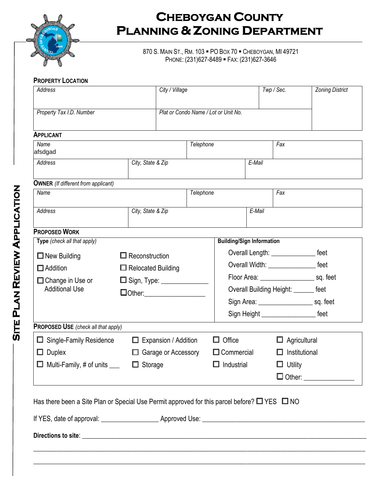

#### 870 S. MAIN ST., RM. 103 PO BOX 70 CHEBOYGAN, MI 49721 PHONE: (231)627-8489 FAX: (231)627-3646

#### **PROPERTY LOCATION**

|                                                                  |                   | City / Village                   |                             |           |                                          |        | Twp / Sec.                                  | <b>Zoning District</b> |
|------------------------------------------------------------------|-------------------|----------------------------------|-----------------------------|-----------|------------------------------------------|--------|---------------------------------------------|------------------------|
| Plat or Condo Name / Lot or Unit No.<br>Property Tax I.D. Number |                   |                                  |                             |           |                                          |        |                                             |                        |
| <b>APPLICANT</b>                                                 |                   |                                  |                             |           |                                          |        |                                             |                        |
| Name<br>afsdgad                                                  |                   |                                  |                             | Telephone |                                          |        | Fax                                         |                        |
| Address                                                          | City, State & Zip |                                  |                             | E-Mail    |                                          |        |                                             |                        |
| <b>OWNER</b> (If different from applicant)                       |                   |                                  |                             |           |                                          |        |                                             |                        |
| Name                                                             |                   |                                  |                             | Telephone |                                          |        | Fax                                         |                        |
| Address                                                          |                   | City, State & Zip                |                             |           |                                          | E-Mail |                                             |                        |
| <b>PROPOSED WORK</b>                                             |                   |                                  |                             |           |                                          |        |                                             |                        |
| Type (check all that apply)                                      |                   |                                  |                             |           | <b>Building/Sign Information</b>         |        |                                             |                        |
| $\Box$ New Building                                              |                   | $\Box$ Reconstruction            |                             |           | Overall Length: __________________ feet  |        |                                             |                        |
| $\Box$ Addition                                                  |                   | $\Box$ Relocated Building        |                             |           | Overall Width: ____________________ feet |        |                                             |                        |
| $\Box$ Change in Use or                                          |                   | □ Sign, Type: _______________    |                             |           |                                          |        |                                             |                        |
| <b>Additional Use</b>                                            |                   | <b>Other:</b> __________________ |                             |           | Overall Building Height: _______ feet    |        |                                             |                        |
|                                                                  |                   |                                  |                             |           |                                          |        |                                             |                        |
|                                                                  |                   |                                  |                             |           |                                          |        | Sign Height __________________________ feet |                        |
| <b>PROPOSED USE</b> (check all that apply)                       |                   |                                  |                             |           |                                          |        |                                             |                        |
| $\Box$ Single-Family Residence                                   |                   |                                  | $\Box$ Expansion / Addition |           | $\Box$ Office                            |        | $\Box$<br>Agricultural                      |                        |
| $\Box$ Duplex                                                    |                   |                                  | □ Garage or Accessory       |           | $\Box$ Commercial                        |        | Institutional                               |                        |
| □ Multi-Family, # of units ____  □ Storage                       |                   |                                  |                             |           | $\Box$ Industrial                        |        | $\Box$ Utility                              |                        |
|                                                                  |                   |                                  |                             |           |                                          |        |                                             | Other: ______________  |

 $\_$  , and the set of the set of the set of the set of the set of the set of the set of the set of the set of the set of the set of the set of the set of the set of the set of the set of the set of the set of the set of th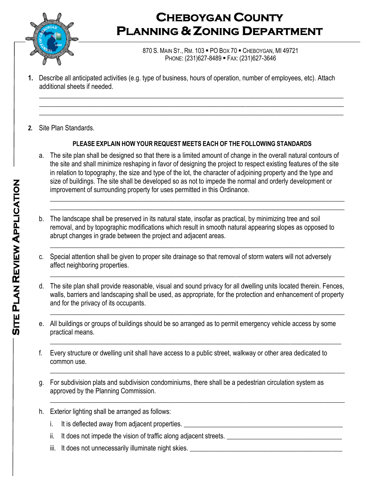

870 S. MAIN ST., RM. 103 . PO BOX 70 . CHEBOYGAN, MI 49721 PHONE: (231)627-8489 FAX: (231)627-3646

- **1.** Describe all anticipated activities (e.g. type of business, hours of operation, number of employees, etc). Attach additional sheets if needed.
- *2.* Site Plan Standards.

#### **PLEASE EXPLAIN HOW YOUR REQUEST MEETS EACH OF THE FOLLOWING STANDARDS**

 $\_$  , and the set of the set of the set of the set of the set of the set of the set of the set of the set of the set of the set of the set of the set of the set of the set of the set of the set of the set of the set of th \_\_\_\_\_\_\_\_\_\_\_\_\_\_\_\_\_\_\_\_\_\_\_\_\_\_\_\_\_\_\_\_\_\_\_\_\_\_\_\_\_\_\_\_\_\_\_\_\_\_\_\_\_\_\_\_\_\_\_\_\_\_\_\_\_\_\_\_\_\_\_\_\_\_\_\_\_\_\_\_\_\_\_\_\_\_\_\_\_\_ \_\_\_\_\_\_\_\_\_\_\_\_\_\_\_\_\_\_\_\_\_\_\_\_\_\_\_\_\_\_\_\_\_\_\_\_\_\_\_\_\_\_\_\_\_\_\_\_\_\_\_\_\_\_\_\_\_\_\_\_\_\_\_\_\_\_\_\_\_\_\_\_\_\_\_\_\_\_\_\_\_\_\_\_\_\_\_\_\_\_

a. The site plan shall be designed so that there is a limited amount of change in the overall natural contours of the site and shall minimize reshaping in favor of designing the project to respect existing features of the site in relation to topography, the size and type of the lot, the character of adjoining property and the type and size of buildings. The site shall be developed so as not to impede the normal and orderly development or improvement of surrounding property for uses permitted in this Ordinance.

\_\_\_\_\_\_\_\_\_\_\_\_\_\_\_\_\_\_\_\_\_\_\_\_\_\_\_\_\_\_\_\_\_\_\_\_\_\_\_\_\_\_\_\_\_\_\_\_\_\_\_\_\_\_\_\_\_\_\_\_\_\_\_\_\_\_\_\_\_\_\_\_\_\_\_\_\_\_\_\_\_\_\_\_\_\_\_ \_\_\_\_\_\_\_\_\_\_\_\_\_\_\_\_\_\_\_\_\_\_\_\_\_\_\_\_\_\_\_\_\_\_\_\_\_\_\_\_\_\_\_\_\_\_\_\_\_\_\_\_\_\_\_\_\_\_\_\_\_\_\_\_\_\_\_\_\_\_\_\_\_\_\_\_\_\_\_\_\_\_\_\_\_\_\_

\_\_\_\_\_\_\_\_\_\_\_\_\_\_\_\_\_\_\_\_\_\_\_\_\_\_\_\_\_\_\_\_\_\_\_\_\_\_\_\_\_\_\_\_\_\_\_\_\_\_\_\_\_\_\_\_\_\_\_\_\_\_\_\_\_\_\_\_\_\_\_\_\_\_\_\_\_\_\_\_\_\_\_\_\_\_\_

 $\_$  , and the set of the set of the set of the set of the set of the set of the set of the set of the set of the set of the set of the set of the set of the set of the set of the set of the set of the set of the set of th

\_\_\_\_\_\_\_\_\_\_\_\_\_\_\_\_\_\_\_\_\_\_\_\_\_\_\_\_\_\_\_\_\_\_\_\_\_\_\_\_\_\_\_\_\_\_\_\_\_\_\_\_\_\_\_\_\_\_\_\_\_\_\_\_\_\_\_\_\_\_\_\_\_\_\_\_\_\_\_\_\_\_\_\_\_\_\_

 $\_$  , and the set of the set of the set of the set of the set of the set of the set of the set of the set of the set of the set of the set of the set of the set of the set of the set of the set of the set of the set of th

\_\_\_\_\_\_\_\_\_\_\_\_\_\_\_\_\_\_\_\_\_\_\_\_\_\_\_\_\_\_\_\_\_\_\_\_\_\_\_\_\_\_\_\_\_\_\_\_\_\_\_\_\_\_\_\_\_\_\_\_\_\_\_\_\_\_\_\_\_\_\_\_\_\_\_\_\_\_\_\_\_\_\_\_\_\_\_

- b. The landscape shall be preserved in its natural state, insofar as practical, by minimizing tree and soil removal, and by topographic modifications which result in smooth natural appearing slopes as opposed to abrupt changes in grade between the project and adjacent areas.
- c. Special attention shall be given to proper site drainage so that removal of storm waters will not adversely affect neighboring properties.
- d. The site plan shall provide reasonable, visual and sound privacy for all dwelling units located therein. Fences, walls, barriers and landscaping shall be used, as appropriate, for the protection and enhancement of property and for the privacy of its occupants.
- e. All buildings or groups of buildings should be so arranged as to permit emergency vehicle access by some practical means.
- f. Every structure or dwelling unit shall have access to a public street, walkway or other area dedicated to common use.
- g. For subdivision plats and subdivision condominiums, there shall be a pedestrian circulation system as approved by the Planning Commission. \_\_\_\_\_\_\_\_\_\_\_\_\_\_\_\_\_\_\_\_\_\_\_\_\_\_\_\_\_\_\_\_\_\_\_\_\_\_\_\_\_\_\_\_\_\_\_\_\_\_\_\_\_\_\_\_\_\_\_\_\_\_\_\_\_\_\_\_\_\_\_\_\_\_\_\_\_\_\_\_\_\_\_\_\_\_\_
- h. Exterior lighting shall be arranged as follows:
	- i. It is deflected away from adjacent properties. \_\_\_\_\_\_\_\_\_\_\_\_\_\_\_\_\_\_\_\_\_\_\_\_\_\_\_\_\_\_\_\_\_\_\_\_\_\_\_\_\_\_\_\_\_\_\_
	- ii. It does not impede the vision of traffic along adjacent streets.
	- iii. It does not unnecessarily illuminate night skies. \_\_\_\_\_\_\_\_\_\_\_\_\_\_\_\_\_\_\_\_\_\_\_\_\_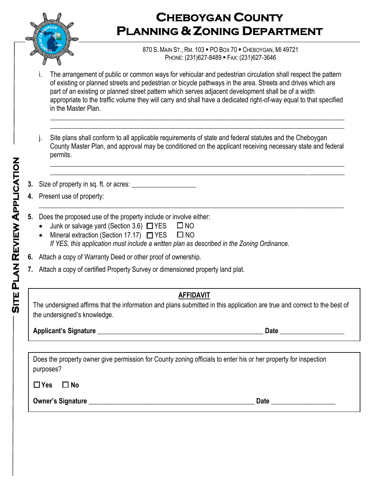

870 S. MAIN ST., RM. 103 . PO BOX 70 . CHEBOYGAN, MI 49721 PHONE: (231)627-8489 FAX: (231)627-3646

The arrangement of public or common ways for vehicular and pedestrian circulation shall respect the pattern of existing or planned streets and pedestrian or bicycle pathways in the area. Streets and drives which are part of an existing or planned street pattern which serves adjacent development shall be of a width appropriate to the traffic volume they will carry and shall have a dedicated right-of-way equal to that specified in the Master Plan.

\_\_\_\_\_\_\_\_\_\_\_\_\_\_\_\_\_\_\_\_\_\_\_\_\_\_\_\_\_\_\_\_\_\_\_\_\_\_\_\_\_\_\_\_\_\_\_\_\_\_\_\_\_\_\_\_\_\_\_\_\_\_\_\_\_\_\_\_\_\_\_\_\_\_\_\_\_\_\_\_\_\_\_\_\_\_\_ \_\_\_\_\_\_\_\_\_\_\_\_\_\_\_\_\_\_\_\_\_\_\_\_\_\_\_\_\_\_\_\_\_\_\_\_\_\_\_\_\_\_\_\_\_\_\_\_\_\_\_\_\_\_\_\_\_\_\_\_\_\_\_\_\_\_\_\_\_\_\_\_\_\_\_\_\_\_\_\_\_\_\_\_\_\_\_

j. Site plans shall conform to all applicable requirements of state and federal statutes and the Cheboygan County Master Plan, and approval may be conditioned on the applicant receiving necessary state and federal permits.

\_\_\_\_\_\_\_\_\_\_\_\_\_\_\_\_\_\_\_\_\_\_\_\_\_\_\_\_\_\_\_\_\_\_\_\_\_\_\_\_\_\_\_\_\_\_\_\_\_\_\_\_\_\_\_\_\_\_\_\_\_\_\_\_\_\_\_\_\_\_\_\_\_\_\_\_\_\_\_\_\_\_\_\_\_\_\_ \_\_\_\_\_\_\_\_\_\_\_\_\_\_\_\_\_\_\_\_\_\_\_\_\_\_\_\_\_\_\_\_\_\_\_\_\_\_\_\_\_\_\_\_\_\_\_\_\_\_\_\_\_\_\_\_\_\_\_\_\_\_\_\_\_\_\_\_\_\_\_\_\_\_\_\_\_\_\_\_\_\_\_\_\_\_\_

**3.** Size of property in sq. ft. or acres:

- **4.** Present use of property: \_\_\_\_\_\_\_\_\_\_\_\_\_\_\_\_\_\_\_\_\_\_\_\_\_\_\_\_\_\_\_\_\_\_\_\_\_\_\_\_\_\_\_\_\_\_\_\_\_\_\_\_\_\_\_\_\_\_\_\_\_\_\_\_\_\_\_\_\_\_\_\_\_\_\_\_\_\_\_\_\_\_\_\_\_\_\_\_\_\_
- **5.** Does the proposed use of the property include or involve either:
	- $\bullet$  Junk or salvage yard (Section 3.6)  $\Box$  YES  $\Box$  NO
	- Mineral extraction (Section 17.17)  $\Box$  YES  $\Box$  NO
		- *If YES, this application must include a written plan as described in the Zoning Ordinance.*
- **6.** Attach a copy of Warranty Deed or other proof of ownership.
- **7.** Attach a copy of certified Property Survey or dimensioned property land plat.

### **AFFIDAVIT**

The undersigned affirms that the information and plans submitted in this application are true and correct to the best of the undersigned's knowledge.

**Applicant's Signature** \_\_\_\_\_\_\_\_\_\_\_\_\_\_\_\_\_\_\_\_\_\_\_\_\_\_\_\_\_\_\_\_\_\_\_\_\_\_\_\_\_\_\_\_\_\_\_\_\_ **Date** \_\_\_\_\_\_\_\_\_\_\_\_\_\_\_\_\_\_\_

| Does the property owner give permission for County zoning officials to enter his or her property for inspection |  |
|-----------------------------------------------------------------------------------------------------------------|--|
| purposes?                                                                                                       |  |

**Yes No** 

**Owner's Signature** \_\_\_\_\_\_\_\_\_\_\_\_\_\_\_\_\_\_\_\_\_\_\_\_\_\_\_\_\_\_\_\_\_\_\_\_\_\_\_\_\_\_\_\_\_\_\_\_\_ **Date** \_\_\_\_\_\_\_\_\_\_\_\_\_\_\_\_\_\_\_